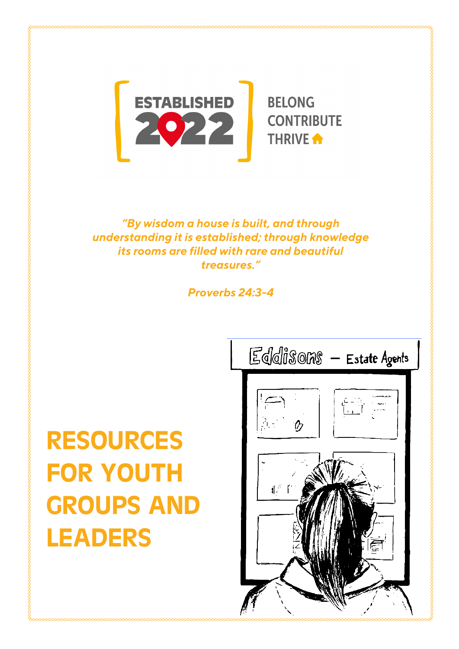

*"By wisdom a house is built, and through understanding it is established; through knowledge its rooms are filled with rare and beautiful treasures."*

*Proverbs 24:3-4* 

# RESOURCES FOR YOUTH GROUPS AND LEADERS

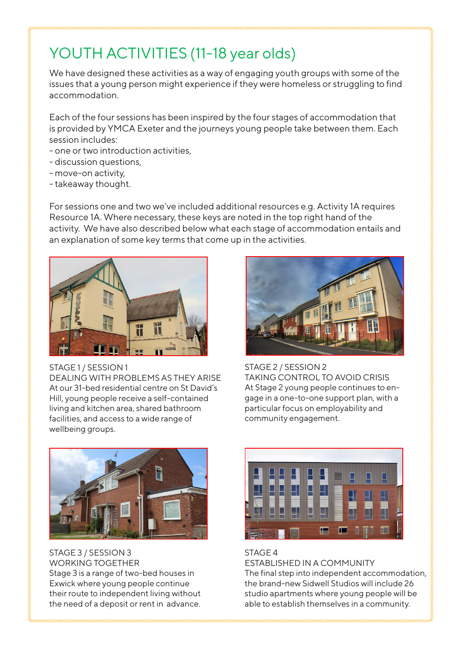### YOUTH ACTIVITIES (11-18 year olds)

We have designed these activities as a way of engaging youth groups with some of the issues that a young person might experience if they were homeless or struggling to find accommodation.

Each of the four sessions has been inspired by the four stages of accommodation that is provided by YMCA Exeter and the journeys young people take between them. Each session includes:

- one or two introduction activities,
- discussion questions,
- move-on activity,
- takeaway thought.

For sessions one and two we've included additional resources e.g. Activity 1A requires Resource 1A. Where necessary, these keys are noted in the top right hand of the activity. We have also described below what each stage of accommodation entails and an explanation of some key terms that come up in the activities.



STAGE 1 / SESSION 1

DEALING WITH PROBLEMS AS THEY ARISE At our 31-bed residential centre on St David's Hill, young people receive a self-contained living and kitchen area, shared bathroom facilities, and access to a wide range of wellbeing groups.



STAGE 2 / SESSION 2 TAKING CONTROL TO AVOID CRISIS At Stage 2 young people continues to engage in a one-to-one support plan, with a particular focus on employability and community engagement.



STAGE 3 / SESSION 3 WORKING TOGETHER Stage 3 is a range of two-bed houses in Exwick where young people continue their route to independent living without the need of a deposit or rent in advance.



#### STAGE 4

ESTABLISHED IN A COMMUNITY

The final step into independent accommodation, the brand-new Sidwell Studios will include 26 studio apartments where young people will be able to establish themselves in a community.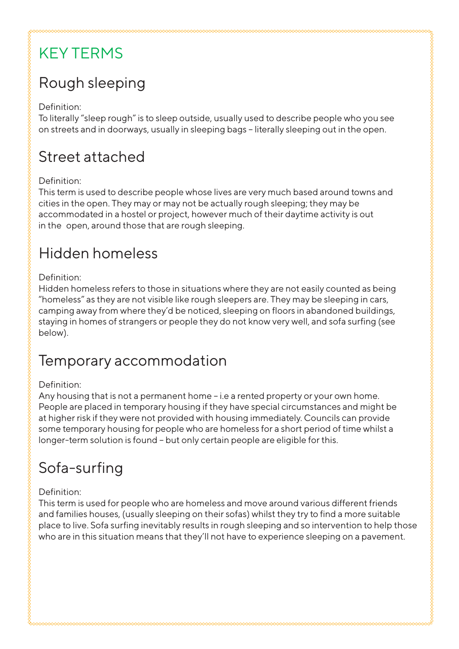# KEY TERMS

# Rough sleeping

#### Definition:

To literally "sleep rough" is to sleep outside, usually used to describe people who you see on streets and in doorways, usually in sleeping bags – literally sleeping out in the open.

#### Street attached

#### Definition:

This term is used to describe people whose lives are very much based around towns and cities in the open. They may or may not be actually rough sleeping; they may be accommodated in a hostel or project, however much of their daytime activity is out in the open, around those that are rough sleeping.

### Hidden homeless

#### Definition:

Hidden homeless refers to those in situations where they are not easily counted as being "homeless" as they are not visible like rough sleepers are. They may be sleeping in cars, camping away from where they'd be noticed, sleeping on floors in abandoned buildings, staying in homes of strangers or people they do not know very well, and sofa surfing (see below).

#### Temporary accommodation

#### Definition:

Any housing that is not a permanent home – i.e a rented property or your own home. People are placed in temporary housing if they have special circumstances and might be at higher risk if they were not provided with housing immediately. Councils can provide some temporary housing for people who are homeless for a short period of time whilst a longer-term solution is found – but only certain people are eligible for this.

### Sofa-surfing

#### Definition:

This term is used for people who are homeless and move around various different friends and families houses, (usually sleeping on their sofas) whilst they try to find a more suitable place to live. Sofa surfing inevitably results in rough sleeping and so intervention to help those who are in this situation means that they'll not have to experience sleeping on a pavement.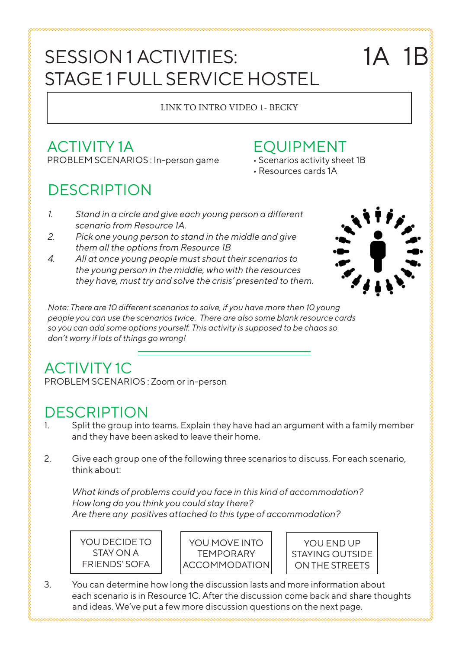# SESSION 1 ACTIVITIES: STAGE 1 FULL SERVICE HOSTEL

#### LINK TO INTRO VIDEO 1- BECKY

#### ACTIVITY 1A PROBLEM SCENARIOS : In-person game

# **DESCRIPTION**

#### EQUIPMENT

- Scenarios activity sheet 1B
- Resources cards 1A
- *1. Stand in a circle and give each young person a different scenario from Resource 1A.*
- *2. Pick one young person to stand in the middle and give them all the options from Resource 1B*
- *4. All at once young people must shout their scenarios to the young person in the middle, who with the resources they have, must try and solve the crisis' presented to them.*

1A 1B

*Note: There are 10 different scenarios to solve, if you have more then 10 young people you can use the scenarios twice. There are also some blank resource cards so you can add some options yourself. This activity is supposed to be chaos so don't worry if lots of things go wrong!* 

#### ACTIVITY 1C PROBLEM SCENARIOS : Zoom or in-person

#### **DESCRIPTION**

- 1. Split the group into teams. Explain they have had an argument with a family member and they have been asked to leave their home.
- 2. Give each group one of the following three scenarios to discuss. For each scenario, think about:

*What kinds of problems could you face in this kind of accommodation? How long do you think you could stay there? Are there any positives attached to this type of accommodation?* 



YOU MOVE INTO **TEMPORARY ACCOMMODATION** 



3. You can determine how long the discussion lasts and more information about each scenario is in Resource 1C. After the discussion come back and share thoughts and ideas. We've put a few more discussion questions on the next page.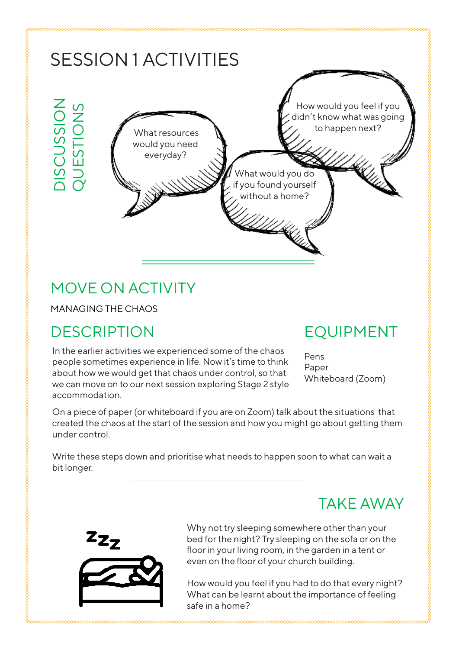

### MOVE ON ACTIVITY

MANAGING THE CHAOS

### DESCRIPTION

In the earlier activities we experienced some of the chaos people sometimes experience in life. Now it's time to think about how we would get that chaos under control, so that we can move on to our next session exploring Stage 2 style accommodation.

#### EQUIPMENT

Pens Paper Whiteboard (Zoom)

On a piece of paper (or whiteboard if you are on Zoom) talk about the situations that created the chaos at the start of the session and how you might go about getting them under control.

Write these steps down and prioritise what needs to happen soon to what can wait a bit longer.

#### TAKE AWAY



Why not try sleeping somewhere other than your bed for the night? Try sleeping on the sofa or on the floor in your living room, in the garden in a tent or even on the floor of your church building.

How would you feel if you had to do that every night? What can be learnt about the importance of feeling safe in a home?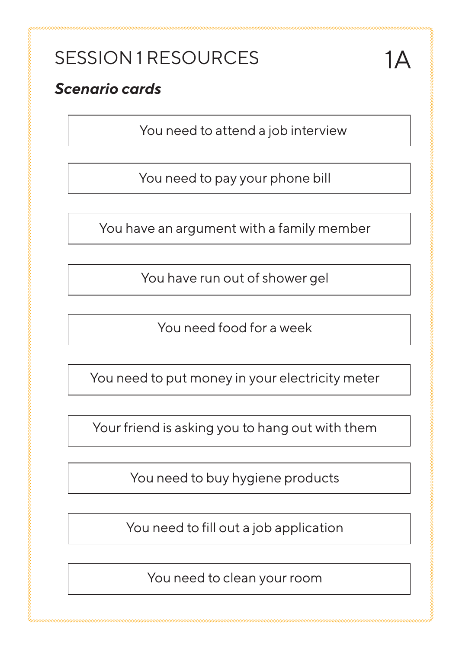# SESSION 1 RESOURCES

#### *Scenario cards*

You need to attend a job interview

You need to pay your phone bill

You have an argument with a family member

You have run out of shower gel

You need food for a week

You need to put money in your electricity meter

Your friend is asking you to hang out with them

You need to buy hygiene products

You need to fill out a job application

You need to clean your room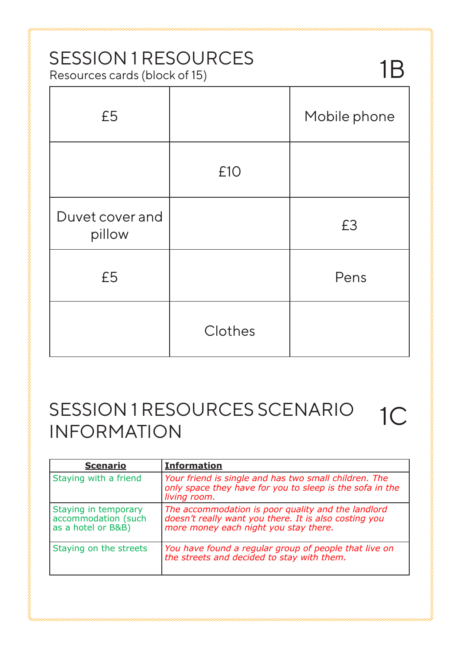#### SESSION 1 RESOURCES Resources cards (block of 15)

| x                         | $\epsilon$ |              |
|---------------------------|------------|--------------|
| £5                        |            | Mobile phone |
|                           | £10        |              |
| Duvet cover and<br>pillow |            | £3           |
| £5                        |            | Pens         |
|                           | Clothes    |              |

1B

#### SESSION 1 RESOURCES SCENARIO INFORMATION 1C

| <b>Scenario</b>                                                   | <b>Information</b>                                                                                                                                   |
|-------------------------------------------------------------------|------------------------------------------------------------------------------------------------------------------------------------------------------|
| Staying with a friend                                             | Your friend is single and has two small children. The<br>only space they have for you to sleep is the sofa in the<br>living room.                    |
| Staying in temporary<br>accommodation (such<br>as a hotel or B&B) | The accommodation is poor quality and the landlord<br>doesn't really want you there. It is also costing you<br>more money each night you stay there. |
| Staying on the streets                                            | You have found a regular group of people that live on<br>the streets and decided to stay with them.                                                  |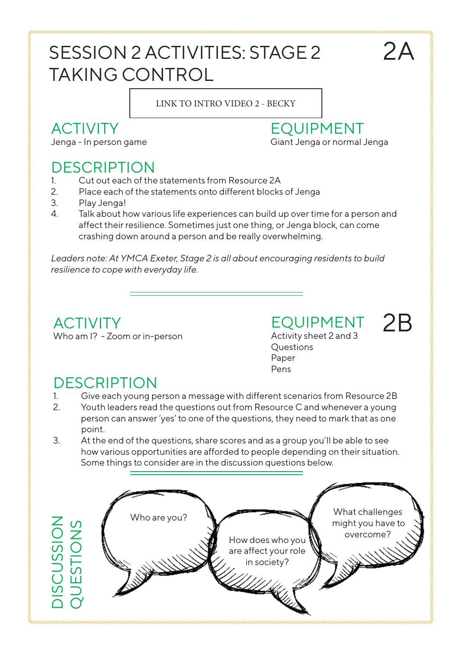# SESSION 2 ACTIVITIES: STAGE 2 TAKING CONTROL

#### LINK TO INTRO VIDEO 2 - BECKY

### ACTIVITY

Jenga - In person game

#### DESCRIPTION

- 1. Cut out each of the statements from Resource 2A
- 2. Place each of the statements onto different blocks of Jenga
- 3. Play Jenga!
- 4. Talk about how various life experiences can build up over time for a person and affect their resilience. Sometimes just one thing, or Jenga block, can come crashing down around a person and be really overwhelming.

*Leaders note: At YMCA Exeter, Stage 2 is all about encouraging residents to build resilience to cope with everyday life.* 

#### **ACTIVITY** Who am I? - Zoom or in-person

EQUIPMENT Activity sheet 2 and 3 Questions Paper Pens

EQUIPMENT

Giant Jenga or normal Jenga

 $74$ 

2B

### **DESCRIPTION**

- 1. Give each young person a message with different scenarios from Resource 2B
- 2. Youth leaders read the questions out from Resource C and whenever a young person can answer 'yes' to one of the questions, they need to mark that as one point.
- 3. At the end of the questions, share scores and as a group you'll be able to see how various opportunities are afforded to people depending on their situation. Some things to consider are in the discussion questions below.

Who are you?

DISCUSSION

DISCUSSION<br>QUESTIONS

QUESTIONS

How does who you are affect your role in society?

What challenges might you have to overcome?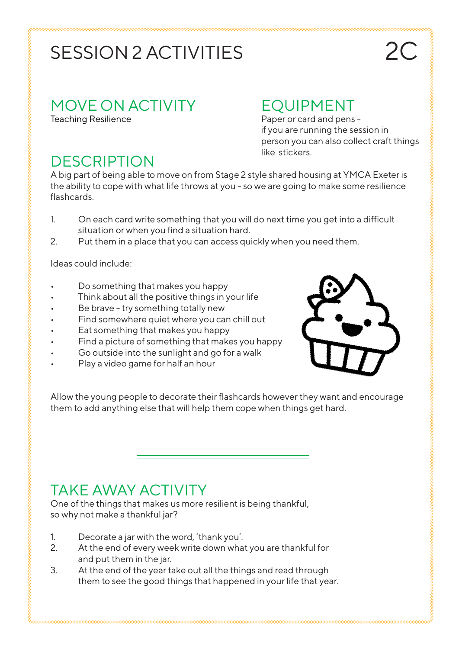# SESSION 2 ACTIVITIES

#### MOVE ON ACTIVITY

Teaching Resilience

#### EQUIPMENT

Paper or card and pens if you are running the session in person you can also collect craft things like stickers.

### **DESCRIPTION**

A big part of being able to move on from Stage 2 style shared housing at YMCA Exeter is the ability to cope with what life throws at you - so we are going to make some resilience flashcards.

- 1. On each card write something that you will do next time you get into a difficult situation or when you find a situation hard.
- 2. Put them in a place that you can access quickly when you need them.

Ideas could include:

- Do something that makes you happy
- Think about all the positive things in your life
- Be brave try something totally new
- Find somewhere quiet where you can chill out
- Eat something that makes you happy
- Find a picture of something that makes you happy
- Go outside into the sunlight and go for a walk
- Play a video game for half an hour



Allow the young people to decorate their flashcards however they want and encourage them to add anything else that will help them cope when things get hard.

### TAKE AWAY ACTIVITY

One of the things that makes us more resilient is being thankful, so why not make a thankful jar?

- 1. Decorate a jar with the word, 'thank you'.
- 2. At the end of every week write down what you are thankful for and put them in the jar.
- 3. At the end of the year take out all the things and read through them to see the good things that happened in your life that year.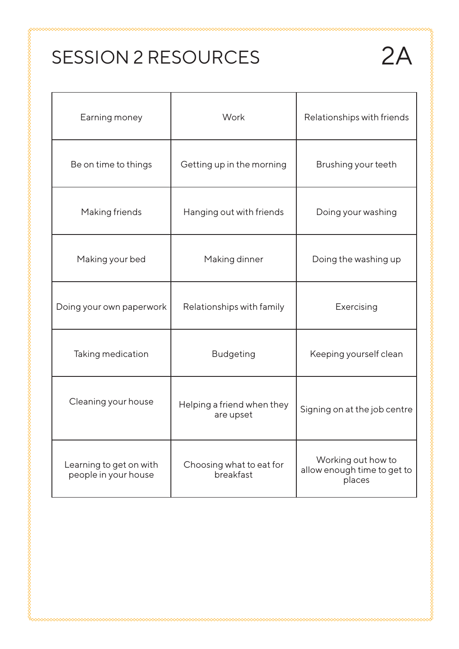# SESSION 2 RESOURCES 2A

| Earning money                                   | Work                                    | Relationships with friends                                  |  |  |
|-------------------------------------------------|-----------------------------------------|-------------------------------------------------------------|--|--|
| Be on time to things                            | Getting up in the morning               | Brushing your teeth                                         |  |  |
| Making friends                                  | Hanging out with friends                | Doing your washing                                          |  |  |
| Making your bed                                 | Making dinner                           | Doing the washing up                                        |  |  |
| Doing your own paperwork                        | Relationships with family               | Exercising                                                  |  |  |
| Taking medication                               | <b>Budgeting</b>                        | Keeping yourself clean                                      |  |  |
| Cleaning your house                             | Helping a friend when they<br>are upset | Signing on at the job centre                                |  |  |
| Learning to get on with<br>people in your house | Choosing what to eat for<br>breakfast   | Working out how to<br>allow enough time to get to<br>places |  |  |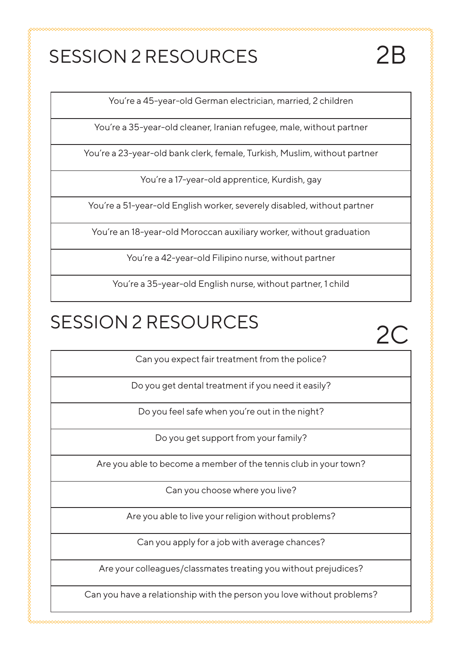# SESSION 2 RESOURCES 2B

You're a 45-year-old German electrician, married, 2 children

You're a 35-year-old cleaner, Iranian refugee, male, without partner

You're a 23-year-old bank clerk, female, Turkish, Muslim, without partner

You're a 17-year-old apprentice, Kurdish, gay

You're a 51-year-old English worker, severely disabled, without partner

You're an 18-year-old Moroccan auxiliary worker, without graduation

You're a 42-year-old Filipino nurse, without partner

You're a 35-year-old English nurse, without partner, 1 child

# SESSION 2 RESOURCES

wana wa wa wakazi wa wakazi wa wakazi wa wakazi wa wakazi wa wakazi wa wakazi wa wakazi wa wakazi wa wakazi wa

2C

Can you expect fair treatment from the police?

Do you get dental treatment if you need it easily?

Do you feel safe when you're out in the night?

Do you get support from your family?

Are you able to become a member of the tennis club in your town?

Can you choose where you live?

Are you able to live your religion without problems?

Can you apply for a job with average chances?

Are your colleagues/classmates treating you without prejudices?

Can you have a relationship with the person you love without problems?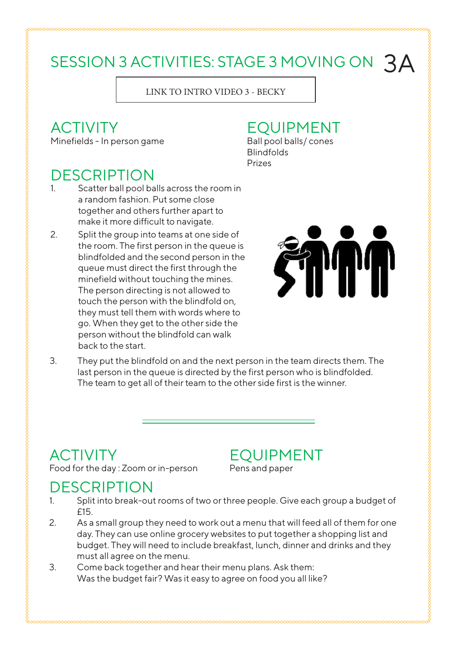# SESSION 3 ACTIVITIES: STAGE 3 MOVING ON  $3A$

LINK TO INTRO VIDEO 3 - BECKY

#### ACTIVITY

Minefields - In person game

#### EQUIPMENT Ball pool balls/ cones

Blindfolds Prizes

#### **DESCRIPTION**

- 1. Scatter ball pool balls across the room in a random fashion. Put some close together and others further apart to make it more difficult to navigate.
- 2. Split the group into teams at one side of the room. The first person in the queue is blindfolded and the second person in the queue must direct the first through the minefield without touching the mines. The person directing is not allowed to touch the person with the blindfold on, they must tell them with words where to go. When they get to the other side the person without the blindfold can walk back to the start.



3. They put the blindfold on and the next person in the team directs them. The last person in the queue is directed by the first person who is blindfolded. The team to get all of their team to the other side first is the winner.

# **ACTIVITY**

Food for the day : Zoom or in-person

EQUIPMENT Pens and paper

#### **DESCRIPTION**

- 1. Split into break-out rooms of two or three people. Give each group a budget of £15.
- 2. As a small group they need to work out a menu that will feed all of them for one day. They can use online grocery websites to put together a shopping list and budget. They will need to include breakfast, lunch, dinner and drinks and they must all agree on the menu.
- 3. Come back together and hear their menu plans. Ask them: Was the budget fair? Was it easy to agree on food you all like?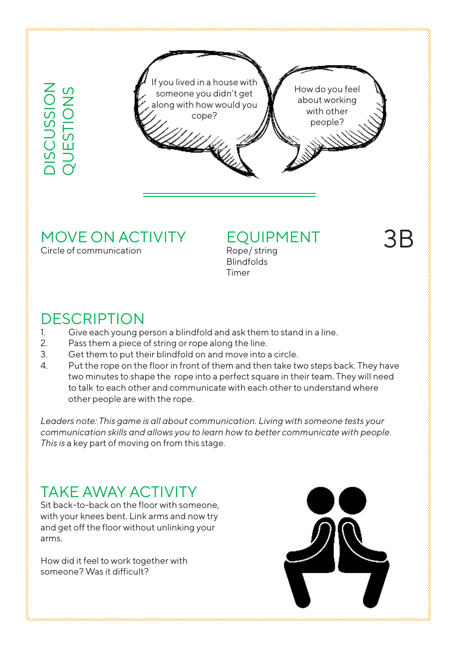DISCUSSION

DISCUSSION<br>QUESTIONS QUESTIONS

If you lived in a house with someone you didn't get along with how would you cope? How do you feel about working with other people?

#### MOVE ON ACTIVITY

Circle of communication

### EQUIPMENT

Rope/ string Blindfolds Timer

### **DESCRIPTION**

- 1. Give each young person a blindfold and ask them to stand in a line.
- 2. Pass them a piece of string or rope along the line.
- 3. Get them to put their blindfold on and move into a circle.
- 4. Put the rope on the floor in front of them and then take two steps back. They have two minutes to shape the rope into a perfect square in their team. They will need to talk to each other and communicate with each other to understand where other people are with the rope.

*Leaders note: This game is all about communication. Living with someone tests your communication skills and allows you to learn how to better communicate with people. This is* a key part of moving on from this stage.

### TAKE AWAY ACTIVITY

Sit back-to-back on the floor with someone, with your knees bent. Link arms and now try and get off the floor without unlinking your arms.

How did it feel to work together with someone? Was it difficult?





3B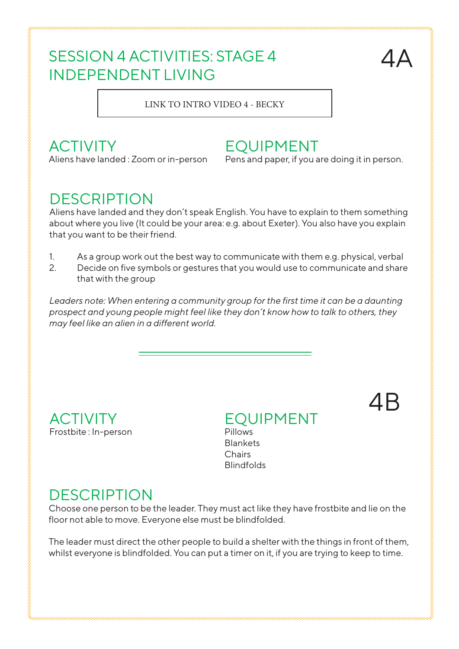#### SESSION 4 ACTIVITIES: STAGE 4 INDEPENDENT LIVING



4B

LINK TO INTRO VIDEO 4 - BECKY

#### **ACTIVITY**

Aliens have landed : Zoom or in-person

#### EQUIPMENT

Pens and paper, if you are doing it in person.

#### **DESCRIPTION**

Aliens have landed and they don't speak English. You have to explain to them something about where you live (It could be your area: e.g. about Exeter). You also have you explain that you want to be their friend.

- 1. As a group work out the best way to communicate with them e.g. physical, verbal
- 2. Decide on five symbols or gestures that you would use to communicate and share that with the group

Leaders note: When entering a community group for the first time it can be a daunting *prospect and young people might feel like they don't know how to talk to others, they may feel like an alien in a different world.* 

ACTIVITY Frostbite : In-person

EQUIPMENT Pillows **Blankets** Chairs **Blindfolds** 

#### **DESCRIPTION**

Choose one person to be the leader. They must act like they have frostbite and lie on the floor not able to move. Everyone else must be blindfolded.

The leader must direct the other people to build a shelter with the things in front of them, whilst everyone is blindfolded. You can put a timer on it, if you are trying to keep to time.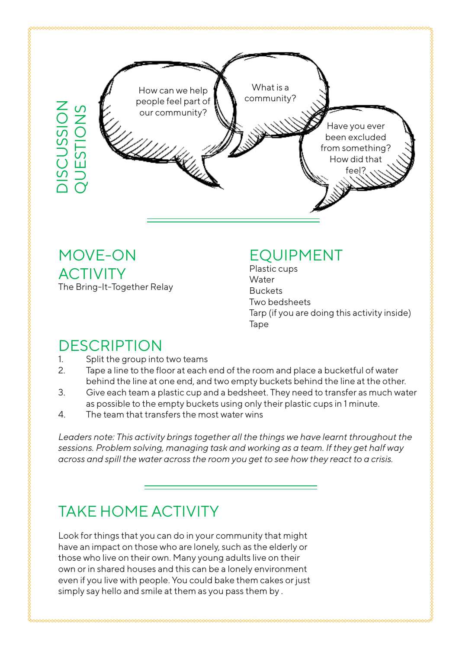

MOVE-ON ACTIVITY The Bring-It-Together Relay

#### EQUIPMENT

Plastic cups **Water** Buckets Two bedsheets Tarp (if you are doing this activity inside) Tape

### DESCRIPTION

- 1. Split the group into two teams
- 2. Tape a line to the floor at each end of the room and place a bucketful of water behind the line at one end, and two empty buckets behind the line at the other.
- 3. Give each team a plastic cup and a bedsheet. They need to transfer as much water as possible to the empty buckets using only their plastic cups in 1 minute.
- 4. The team that transfers the most water wins

*Leaders note: This activity brings together all the things we have learnt throughout the sessions. Problem solving, managing task and working as a team. If they get half way across and spill the water across the room you get to see how they react to a crisis.* 

### TAKE HOME ACTIVITY

Look for things that you can do in your community that might have an impact on those who are lonely, such as the elderly or those who live on their own. Many young adults live on their own or in shared houses and this can be a lonely environment even if you live with people. You could bake them cakes or just simply say hello and smile at them as you pass them by .